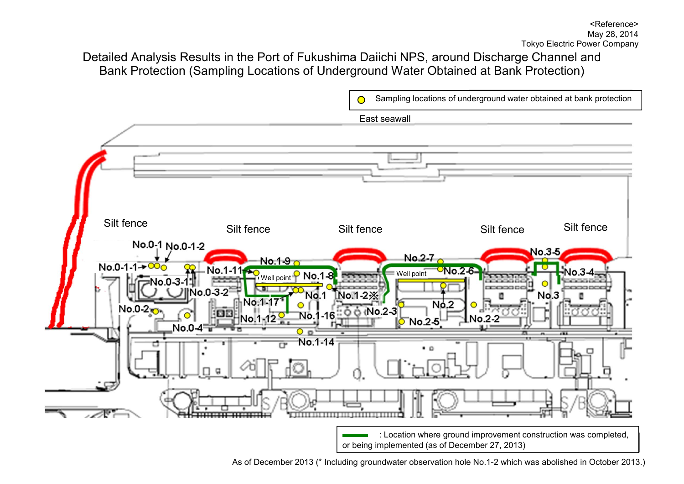Sampling locations of underground water obtained at bank protection  $\bigcirc$ East seawall Silt fence Silt fence Silt fenceSilt fence Silt fence No.0-1 No.0-1-2 No.3-5 No.2-7  $No.1-9<sub>c</sub>$ No.0-1-1→ $\frac{0}{0}$  $ONa2-6$  $W$ ell point  $P$  No.1-8.  $W$  $0.3$ rocaso  $0.0 - 3 - 2$ No. 1-2-X **No.1**  $No.3$ No 1-1  $N_0$ .2  $No.0-2$  $6$  (No.2-3) No. No.1-12 No.2-2  $O$  No.2-5  $No.0-4$  $0<sub>0</sub>$ No.1-14 : Location where ground improvement construction was completed, or being implemented (as of December 27, 2013)

As of December 2013 (\* Including groundwater observation hole No.1-2 which was abolished in October 2013.)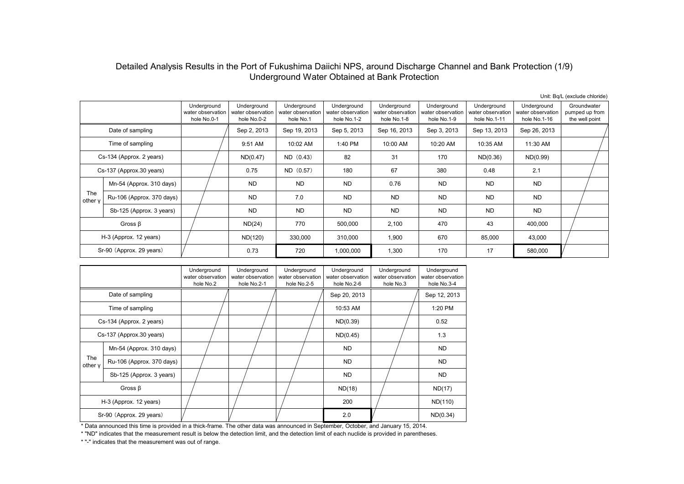# Detailed Analysis Results in the Port of Fukushima Daiichi NPS, around Discharge Channel and Bank Protection (1/9) Underground Water Obtained at Bank Protection

|                |                           |                                                 |                                                 |                                               |                                                 |                                                 |                                                 |                                                  |                                                  | Unit: Bq/L (exclude chloride)                   |
|----------------|---------------------------|-------------------------------------------------|-------------------------------------------------|-----------------------------------------------|-------------------------------------------------|-------------------------------------------------|-------------------------------------------------|--------------------------------------------------|--------------------------------------------------|-------------------------------------------------|
|                |                           | Underground<br>water observation<br>hole No.0-1 | Underground<br>water observation<br>hole No.0-2 | Underground<br>water observation<br>hole No.1 | Underground<br>water observation<br>hole No.1-2 | Underground<br>water observation<br>hole No.1-8 | Underground<br>water observation<br>hole No.1-9 | Underground<br>water observation<br>hole No.1-11 | Underground<br>water observation<br>hole No.1-16 | Groundwater<br>pumped up from<br>the well point |
|                | Date of sampling          |                                                 | Sep 2, 2013                                     | Sep 19, 2013                                  | Sep 5, 2013                                     | Sep 16, 2013                                    | Sep 3, 2013                                     | Sep 13, 2013                                     | Sep 26, 2013                                     |                                                 |
|                | Time of sampling          |                                                 | 9:51 AM                                         | 10:02 AM                                      | 1:40 PM                                         | 10:00 AM                                        | 10:20 AM                                        | 10:35 AM                                         | 11:30 AM                                         |                                                 |
|                | Cs-134 (Approx. 2 years)  |                                                 | ND(0.47)                                        | $ND$ $(0.43)$                                 | 82                                              | 31                                              | 170                                             | ND(0.36)                                         | ND(0.99)                                         |                                                 |
|                | Cs-137 (Approx.30 years)  |                                                 | 0.75                                            | ND (0.57)                                     | 180                                             | 67                                              | 380                                             | 0.48                                             | 2.1                                              |                                                 |
|                | Mn-54 (Approx. 310 days)  |                                                 | <b>ND</b>                                       | <b>ND</b>                                     | <b>ND</b>                                       | 0.76                                            | <b>ND</b>                                       | <b>ND</b>                                        | <b>ND</b>                                        |                                                 |
| The<br>other y | Ru-106 (Approx. 370 days) |                                                 | <b>ND</b>                                       | 7.0                                           | <b>ND</b>                                       | <b>ND</b>                                       | <b>ND</b>                                       | <b>ND</b>                                        | <b>ND</b>                                        |                                                 |
|                | Sb-125 (Approx. 3 years)  |                                                 | <b>ND</b>                                       | <b>ND</b>                                     | <b>ND</b>                                       | <b>ND</b>                                       | <b>ND</b>                                       | <b>ND</b>                                        | <b>ND</b>                                        |                                                 |
|                | Gross $\beta$             |                                                 | ND(24)                                          | 770                                           | 500,000                                         | 2,100                                           | 470                                             | 43                                               | 400,000                                          |                                                 |
|                | H-3 (Approx. 12 years)    |                                                 | ND(120)                                         | 330,000                                       | 310,000                                         | 1,900                                           | 670                                             | 85,000                                           | 43,000                                           |                                                 |
|                | Sr-90 (Approx. 29 years)  |                                                 | 0.73                                            | 720                                           | 1,000,000                                       | 1,300                                           | 170                                             | 17                                               | 580,000                                          |                                                 |

|                |                           | Underground<br>water observation<br>hole No.2 | Underground<br>water observation<br>hole No.2-1 | Underground<br>water observation<br>hole No.2-5 | Underground<br>water observation<br>hole No.2-6 | Underground<br>water observation<br>hole No.3 | Underground<br>water observation<br>hole No.3-4 |
|----------------|---------------------------|-----------------------------------------------|-------------------------------------------------|-------------------------------------------------|-------------------------------------------------|-----------------------------------------------|-------------------------------------------------|
|                | Date of sampling          |                                               |                                                 |                                                 | Sep 20, 2013                                    |                                               | Sep 12, 2013                                    |
|                | Time of sampling          |                                               |                                                 |                                                 | 10:53 AM                                        |                                               | 1:20 PM                                         |
|                | Cs-134 (Approx. 2 years)  |                                               |                                                 |                                                 | ND(0.39)                                        |                                               | 0.52                                            |
|                | Cs-137 (Approx.30 years)  |                                               |                                                 |                                                 | ND(0.45)                                        |                                               | 1.3                                             |
|                | Mn-54 (Approx. 310 days)  |                                               |                                                 |                                                 | <b>ND</b>                                       |                                               | <b>ND</b>                                       |
| The<br>other y | Ru-106 (Approx. 370 days) |                                               |                                                 |                                                 | <b>ND</b>                                       |                                               | <b>ND</b>                                       |
|                | Sb-125 (Approx. 3 years)  |                                               |                                                 |                                                 | <b>ND</b>                                       |                                               | <b>ND</b>                                       |
|                | Gross $\beta$             |                                               |                                                 |                                                 | ND(18)                                          |                                               | ND(17)                                          |
|                | H-3 (Approx. 12 years)    |                                               |                                                 |                                                 | 200                                             |                                               | ND(110)                                         |
|                | Sr-90 (Approx. 29 years)  |                                               |                                                 |                                                 | 2.0                                             |                                               | ND(0.34)                                        |

\* Data announced this time is provided in a thick-frame. The other data was announced in September, October, and January 15, 2014.

\* "ND" indicates that the measurement result is below the detection limit, and the detection limit of each nuclide is provided in parentheses.

\* "-" indicates that the measurement was out of range.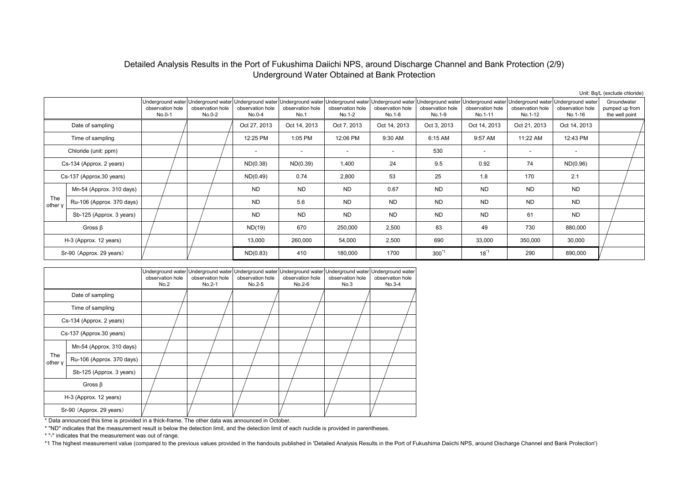## Detailed Analysis Results in the Port of Fukushima Daiichi NPS, around Discharge Channel and Bank Protection (2/9) Underground Water Obtained at Bank Protection

Unit: Bq/L (exclude chloride)

|                |                           |                                                 |                            |                                                                   |                          |                                                                                                       |                            |                            |                             |                                                                                      |                             | $O(m, Dq)$ L (CAUGUC UNUIGU)                    |
|----------------|---------------------------|-------------------------------------------------|----------------------------|-------------------------------------------------------------------|--------------------------|-------------------------------------------------------------------------------------------------------|----------------------------|----------------------------|-----------------------------|--------------------------------------------------------------------------------------|-----------------------------|-------------------------------------------------|
|                |                           | Underground water<br>observation hole<br>No.0-1 | observation hole<br>No.0-2 | Underground water Underground water<br>observation hole<br>No.0-4 | observation hole<br>No.1 | Underground water Underground water Underground water Underground water<br>observation hole<br>No.1-2 | observation hole<br>No.1-8 | observation hole<br>No.1-9 | observation hole<br>No.1-11 | Underground water Underground water Underground water<br>observation hole<br>No.1-12 | observation hole<br>No.1-16 | Groundwater<br>pumped up from<br>the well point |
|                | Date of sampling          |                                                 |                            | Oct 27, 2013                                                      | Oct 14, 2013             | Oct 7, 2013                                                                                           | Oct 14, 2013               | Oct 3, 2013                | Oct 14, 2013                | Oct 21, 2013                                                                         | Oct 14, 2013                |                                                 |
|                | Time of sampling          |                                                 |                            | 12:25 PM                                                          | 1:05 PM                  | 12:06 PM                                                                                              | 9:30 AM                    | 6:15 AM                    | 9:57 AM                     | 11:22 AM                                                                             | 12:43 PM                    |                                                 |
|                | Chloride (unit: ppm)      |                                                 |                            | $\overline{\phantom{a}}$                                          | $\overline{\phantom{a}}$ |                                                                                                       | $\overline{\phantom{a}}$   | 530                        | $\overline{\phantom{a}}$    | $\overline{\phantom{a}}$                                                             | $\overline{\phantom{a}}$    |                                                 |
|                | Cs-134 (Approx. 2 years)  |                                                 |                            | ND(0.38)                                                          | ND(0.39)                 | 1,400                                                                                                 | 24                         | 9.5                        | 0.92                        | 74                                                                                   | ND(0.96)                    |                                                 |
|                | Cs-137 (Approx.30 years)  |                                                 |                            | ND(0.49)                                                          | 0.74                     | 2,800                                                                                                 | 53                         | 25                         | 1.8                         | 170                                                                                  | 2.1                         |                                                 |
|                | Mn-54 (Approx. 310 days)  |                                                 |                            | <b>ND</b>                                                         | <b>ND</b>                | <b>ND</b>                                                                                             | 0.67                       | <b>ND</b>                  | <b>ND</b>                   | <b>ND</b>                                                                            | <b>ND</b>                   |                                                 |
| The<br>other y | Ru-106 (Approx. 370 days) |                                                 |                            | <b>ND</b>                                                         | 5.6                      | <b>ND</b>                                                                                             | <b>ND</b>                  | <b>ND</b>                  | <b>ND</b>                   | <b>ND</b>                                                                            | <b>ND</b>                   |                                                 |
|                | Sb-125 (Approx. 3 years)  |                                                 |                            | <b>ND</b>                                                         | ND.                      | <b>ND</b>                                                                                             | <b>ND</b>                  | <b>ND</b>                  | <b>ND</b>                   | 61                                                                                   | <b>ND</b>                   |                                                 |
|                | Gross $\beta$             |                                                 |                            | ND(19)                                                            | 670                      | 250,000                                                                                               | 2,500                      | 83                         | 49                          | 730                                                                                  | 880,000                     |                                                 |
|                | H-3 (Approx. 12 years)    |                                                 |                            | 13,000                                                            | 260,000                  | 54,000                                                                                                | 2,500                      | 690                        | 33,000                      | 350,000                                                                              | 30,000                      |                                                 |
|                | Sr-90 (Approx. 29 years)  |                                                 |                            | ND(0.83)                                                          | 410                      | 180,000                                                                                               | 1700                       | $300^{1}$                  | $18^{11}$                   | 290                                                                                  | 890,000                     |                                                 |

|                |                           | observation hole<br>No.2 | Underground water Underground water<br>observation hole<br>No.2-1 | Underground water<br>observation hole<br>No.2-5 | Underground water<br>observation hole<br>No.2-6 | observation hole<br>No.3 | Underground water Underground water<br>observation hole<br>No.3-4 |
|----------------|---------------------------|--------------------------|-------------------------------------------------------------------|-------------------------------------------------|-------------------------------------------------|--------------------------|-------------------------------------------------------------------|
|                | Date of sampling          |                          |                                                                   |                                                 |                                                 |                          |                                                                   |
|                | Time of sampling          |                          |                                                                   |                                                 |                                                 |                          |                                                                   |
|                | Cs-134 (Approx. 2 years)  |                          |                                                                   |                                                 |                                                 |                          |                                                                   |
|                | Cs-137 (Approx.30 years)  |                          |                                                                   |                                                 |                                                 |                          |                                                                   |
|                | Mn-54 (Approx. 310 days)  |                          |                                                                   |                                                 |                                                 |                          |                                                                   |
| The<br>other y | Ru-106 (Approx. 370 days) |                          |                                                                   |                                                 |                                                 |                          |                                                                   |
|                | Sb-125 (Approx. 3 years)  |                          |                                                                   |                                                 |                                                 |                          |                                                                   |
|                | Gross $\beta$             |                          |                                                                   |                                                 |                                                 |                          |                                                                   |
|                | H-3 (Approx. 12 years)    |                          |                                                                   |                                                 |                                                 |                          |                                                                   |
|                | Sr-90 (Approx. 29 years)  |                          |                                                                   |                                                 |                                                 |                          |                                                                   |

\* Data announced this time is provided in a thick-frame. The other data was announced in October.

\* "ND" indicates that the measurement result is below the detection limit, and the detection limit of each nuclide is provided in parentheses.

\* "-" indicates that the measurement was out of range.

\*1 The highest measurement value (compared to the previous values provided in the handouts published in 'Detailed Analysis Results in the Port of Fukushima Daiichi NPS, around Discharge Channel and Bank Protection')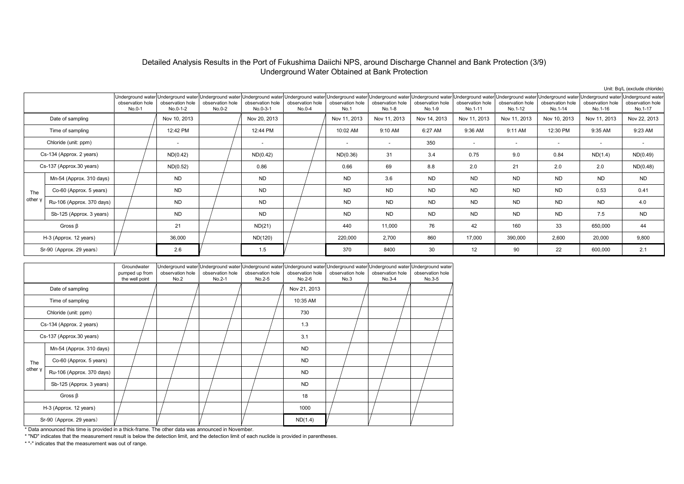#### Detailed Analysis Results in the Port of Fukushima Daiichi NPS, around Discharge Channel and Bank Protection (3/9) Underground Water Obtained at Bank Protection

|         |                           |                            |                              |                                                                                                         |                              |                              |                          |                            |                            |                             |                             |                                                                                                                                                                                                  |                             | Unit: Bq/L (exclude chloride)                    |
|---------|---------------------------|----------------------------|------------------------------|---------------------------------------------------------------------------------------------------------|------------------------------|------------------------------|--------------------------|----------------------------|----------------------------|-----------------------------|-----------------------------|--------------------------------------------------------------------------------------------------------------------------------------------------------------------------------------------------|-----------------------------|--------------------------------------------------|
|         |                           | observation hole<br>No.0-1 | observation hole<br>No.0-1-2 | Underground water Underground water Underground water Underground water<br>observation hole<br>$No.0-2$ | observation hole<br>No.0-3-1 | observation hole<br>$No.0-4$ | observation hole<br>No.1 | observation hole<br>No.1-8 | observation hole<br>No.1-9 | observation hole<br>No.1-11 | observation hole<br>No.1-12 | Underground water Underground water Underground water Underground water Underground water Underground water Underground water Underground water Underground water<br>observation hole<br>No.1-14 | observation hole<br>No.1-16 | Underground water<br>observation hole<br>No.1-17 |
|         | Date of sampling          |                            | Nov 10, 2013                 |                                                                                                         | Nov 20, 2013                 |                              | Nov 11, 2013             | Nov 11, 2013               | Nov 14, 2013               | Nov 11, 2013                | Nov 11, 2013                | Nov 10, 2013                                                                                                                                                                                     | Nov 11, 2013                | Nov 22, 2013                                     |
|         | Time of sampling          |                            | 12:42 PM                     |                                                                                                         | 12:44 PM                     |                              | 10:02 AM                 | 9:10 AM                    | 6:27 AM                    | 9:36 AM                     | 9:11 AM                     | 12:30 PM                                                                                                                                                                                         | 9:35 AM                     | 9:23 AM                                          |
|         | Chloride (unit: ppm)      |                            | $\overline{\phantom{a}}$     |                                                                                                         | $\overline{\phantom{a}}$     |                              | $\sim$                   | $\sim$                     | 350                        | $\sim$                      | $\sim$                      | $\sim$                                                                                                                                                                                           | $\sim$                      | $\sim$                                           |
|         | Cs-134 (Approx. 2 years)  |                            | ND(0.42)                     |                                                                                                         | ND(0.42)                     |                              | ND(0.36)                 | 31                         | 3.4                        | 0.75                        | 9.0                         | 0.84                                                                                                                                                                                             | ND(1.4)                     | ND(0.49)                                         |
|         | Cs-137 (Approx.30 years)  |                            | ND(0.52)                     |                                                                                                         | 0.86                         |                              | 0.66                     | 69                         | 8.8                        | 2.0                         | 21                          | 2.0                                                                                                                                                                                              | 2.0                         | ND(0.48)                                         |
|         | Mn-54 (Approx. 310 days)  |                            | <b>ND</b>                    |                                                                                                         | <b>ND</b>                    |                              | <b>ND</b>                | 3.6                        | <b>ND</b>                  | ND.                         | <b>ND</b>                   | ND.                                                                                                                                                                                              | <b>ND</b>                   | <b>ND</b>                                        |
| The     | Co-60 (Approx. 5 years)   |                            | <b>ND</b>                    |                                                                                                         | <b>ND</b>                    |                              | <b>ND</b>                | <b>ND</b>                  | <b>ND</b>                  | <b>ND</b>                   | <b>ND</b>                   | <b>ND</b>                                                                                                                                                                                        | 0.53                        | 0.41                                             |
| other y | Ru-106 (Approx. 370 days) |                            | <b>ND</b>                    |                                                                                                         | <b>ND</b>                    |                              | <b>ND</b>                | <b>ND</b>                  | <b>ND</b>                  | <b>ND</b>                   | <b>ND</b>                   | <b>ND</b>                                                                                                                                                                                        | <b>ND</b>                   | 4.0                                              |
|         | Sb-125 (Approx. 3 years)  |                            | <b>ND</b>                    |                                                                                                         | <b>ND</b>                    |                              | <b>ND</b>                | <b>ND</b>                  | <b>ND</b>                  | <b>ND</b>                   | <b>ND</b>                   | <b>ND</b>                                                                                                                                                                                        | 7.5                         | <b>ND</b>                                        |
|         | Gross $\beta$             |                            | 21                           |                                                                                                         | ND(21)                       |                              | 440                      | 11,000                     | 76                         | 42                          | 160                         | 33                                                                                                                                                                                               | 650,000                     | 44                                               |
|         | H-3 (Approx. 12 years)    |                            | 36,000                       |                                                                                                         | ND(120)                      |                              | 220,000                  | 2,700                      | 860                        | 17,000                      | 390,000                     | 2,600                                                                                                                                                                                            | 20,000                      | 9,800                                            |
|         | Sr-90 (Approx. 29 years)  |                            | 2.6                          |                                                                                                         | 1.5                          |                              | 370                      | 8400                       | 30                         | 12                          | 90                          | 22                                                                                                                                                                                               | 600,000                     | 2.1                                              |

|         |                           | Groundwater<br>pumped up from<br>the well point | Underground water<br>observation hole<br>No.2 | Underground water Underground water<br>observation hole<br>No.2-1 | observation hole<br>No.2-5 | observation hole<br>No.2-6 | Underground water Underground water<br>observation hole<br>No.3 | Underground water<br>observation hole<br>No.3-4 | Underground water<br>observation hole<br>No.3-5 |
|---------|---------------------------|-------------------------------------------------|-----------------------------------------------|-------------------------------------------------------------------|----------------------------|----------------------------|-----------------------------------------------------------------|-------------------------------------------------|-------------------------------------------------|
|         | Date of sampling          |                                                 |                                               |                                                                   |                            | Nov 21, 2013               |                                                                 |                                                 |                                                 |
|         | Time of sampling          |                                                 |                                               |                                                                   |                            | 10:35 AM                   |                                                                 |                                                 |                                                 |
|         | Chloride (unit: ppm)      |                                                 |                                               |                                                                   |                            | 730                        |                                                                 |                                                 |                                                 |
|         | Cs-134 (Approx. 2 years)  |                                                 |                                               |                                                                   |                            | 1.3                        |                                                                 |                                                 |                                                 |
|         | Cs-137 (Approx.30 years)  |                                                 |                                               |                                                                   |                            | 3.1                        |                                                                 |                                                 |                                                 |
|         | Mn-54 (Approx. 310 days)  |                                                 |                                               |                                                                   |                            | <b>ND</b>                  |                                                                 |                                                 |                                                 |
| The     | Co-60 (Approx. 5 years)   |                                                 |                                               |                                                                   |                            | <b>ND</b>                  |                                                                 |                                                 |                                                 |
| other y | Ru-106 (Approx. 370 days) |                                                 |                                               |                                                                   |                            | <b>ND</b>                  |                                                                 |                                                 |                                                 |
|         | Sb-125 (Approx. 3 years)  |                                                 |                                               |                                                                   |                            | <b>ND</b>                  |                                                                 |                                                 |                                                 |
|         | Gross $\beta$             |                                                 |                                               |                                                                   |                            | 18                         |                                                                 |                                                 |                                                 |
|         | H-3 (Approx. 12 years)    |                                                 |                                               |                                                                   |                            | 1000                       |                                                                 |                                                 |                                                 |
|         | Sr-90 (Approx. 29 years)  |                                                 |                                               |                                                                   |                            | ND(1.4)                    |                                                                 |                                                 |                                                 |

\* Data announced this time is provided in a thick-frame. The other data was announced in November.

\* "ND" indicates that the measurement result is below the detection limit, and the detection limit of each nuclide is provided in parentheses.

\* "-" indicates that the measurement was out of range.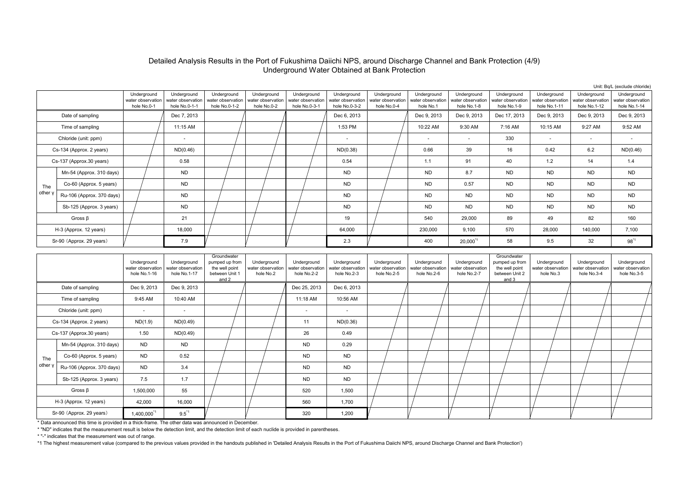### Detailed Analysis Results in the Port of Fukushima Daiichi NPS, around Discharge Channel and Bank Protection (4/9) Underground Water Obtained at Bank Protection

|         |                           |                                                 |                                                   |                                                   |                                                 |                                                   |                                                   |                                                 |                                               |                                                 |                                                 |                                                  |                                                  | Unit: Bq/L (exclude chloride)                    |
|---------|---------------------------|-------------------------------------------------|---------------------------------------------------|---------------------------------------------------|-------------------------------------------------|---------------------------------------------------|---------------------------------------------------|-------------------------------------------------|-----------------------------------------------|-------------------------------------------------|-------------------------------------------------|--------------------------------------------------|--------------------------------------------------|--------------------------------------------------|
|         |                           | Underground<br>water observation<br>hole No.0-1 | Underground<br>water observation<br>hole No.0-1-1 | Underground<br>water observation<br>hole No.0-1-2 | Underground<br>water observation<br>hole No.0-2 | Underground<br>water observation<br>hole No.0-3-1 | Underground<br>water observation<br>hole No.0-3-2 | Underground<br>water observation<br>hole No.0-4 | Underground<br>water observation<br>hole No.1 | Underground<br>water observation<br>hole No.1-8 | Underground<br>water observation<br>hole No.1-9 | Underground<br>water observation<br>hole No.1-11 | Underground<br>water observation<br>hole No.1-12 | Underground<br>water observation<br>hole No.1-14 |
|         | Date of sampling          |                                                 | Dec 7, 2013                                       |                                                   |                                                 |                                                   | Dec 6, 2013                                       |                                                 | Dec 9, 2013                                   | Dec 9, 2013                                     | Dec 17, 2013                                    | Dec 9, 2013                                      | Dec 9, 2013                                      | Dec 9, 2013                                      |
|         | Time of sampling          |                                                 | 11:15 AM                                          |                                                   |                                                 |                                                   | 1:53 PM                                           |                                                 | 10:22 AM                                      | 9:30 AM                                         | 7:16 AM                                         | 10:15 AM                                         | 9:27 AM                                          | 9:52 AM                                          |
|         | Chloride (unit: ppm)      |                                                 | $\overline{\phantom{a}}$                          |                                                   |                                                 |                                                   | $\overline{\phantom{a}}$                          |                                                 | $\overline{\phantom{a}}$                      | $\overline{\phantom{a}}$                        | 330                                             | $\overline{a}$                                   | $\overline{\phantom{a}}$                         |                                                  |
|         | Cs-134 (Approx. 2 years)  |                                                 | ND(0.46)                                          |                                                   |                                                 |                                                   | ND(0.38)                                          |                                                 | 0.66                                          | 39                                              | 16                                              | 0.42                                             | 6.2                                              | ND(0.46)                                         |
|         | Cs-137 (Approx.30 years)  |                                                 | 0.58                                              |                                                   |                                                 |                                                   | 0.54                                              |                                                 | 1.1                                           | 91                                              | 40                                              | 1.2                                              | 14                                               | 1.4                                              |
|         | Mn-54 (Approx. 310 days)  |                                                 | <b>ND</b>                                         |                                                   |                                                 |                                                   | <b>ND</b>                                         |                                                 | <b>ND</b>                                     | 8.7                                             | <b>ND</b>                                       | <b>ND</b>                                        | <b>ND</b>                                        | <b>ND</b>                                        |
| The     | Co-60 (Approx. 5 years)   |                                                 | <b>ND</b>                                         |                                                   |                                                 |                                                   | <b>ND</b>                                         |                                                 | <b>ND</b>                                     | 0.57                                            | <b>ND</b>                                       | <b>ND</b>                                        | <b>ND</b>                                        | <b>ND</b>                                        |
| other y | Ru-106 (Approx. 370 days) |                                                 | <b>ND</b>                                         |                                                   |                                                 |                                                   | <b>ND</b>                                         |                                                 | <b>ND</b>                                     | <b>ND</b>                                       | <b>ND</b>                                       | <b>ND</b>                                        | <b>ND</b>                                        | <b>ND</b>                                        |
|         | Sb-125 (Approx. 3 years)  |                                                 | <b>ND</b>                                         |                                                   |                                                 |                                                   | <b>ND</b>                                         |                                                 | <b>ND</b>                                     | <b>ND</b>                                       | <b>ND</b>                                       | <b>ND</b>                                        | <b>ND</b>                                        | <b>ND</b>                                        |
|         | Gross $\beta$             |                                                 | 21                                                |                                                   |                                                 |                                                   | 19                                                |                                                 | 540                                           | 29,000                                          | 89                                              | 49                                               | 82                                               | 160                                              |
|         | H-3 (Approx. 12 years)    |                                                 | 18,000                                            |                                                   |                                                 |                                                   | 64,000                                            |                                                 | 230,000                                       | 9,100                                           | 570                                             | 28,000                                           | 140,000                                          | 7,100                                            |
|         | Sr-90 (Approx. 29 years)  |                                                 | 7.9                                               |                                                   |                                                 |                                                   | 2.3                                               |                                                 | 400                                           | 20,000                                          | 58                                              | 9.5                                              | 32                                               | $98^{1}$                                         |
|         |                           | <b>Lindoratound</b>                             | <b>Lindoraround</b>                               | Groundwater<br>numnod un from                     | <b>Lindoraround</b>                             | <b>Lindoraround</b>                               | <b>Lindoraround</b>                               | <b>Lindoraround</b>                             | <b>Lindoraround</b>                           | <b>Lindoraround</b>                             | Groundwater<br>numnod un from                   | <b>Lindoraround</b>                              | <b>Lindoraround</b>                              | <b>Lindoraround</b>                              |

|         |                           | Underground<br>water observation<br>hole No.1-16 | Underground<br>water observation<br>hole No.1-17 | Groundwater<br>pumped up from<br>the well point<br>between Unit 1<br>and 2 | Underground<br>water observation<br>hole No.2 | Underground<br>water observation<br>hole No.2-2 | Underground<br>water observation<br>hole No.2-3 | Underground<br>water observation<br>hole No.2-5 | Underground<br>water observation<br>hole No.2-6 | Underground<br>water observation<br>hole No.2-7 | Groundwater<br>pumped up from<br>the well point<br>between Unit 2<br>and 3 | Underground<br>water observation<br>hole No.3 | Underground<br>water observation<br>hole No.3-4 | Underground<br>water observation<br>hole No.3-5 |
|---------|---------------------------|--------------------------------------------------|--------------------------------------------------|----------------------------------------------------------------------------|-----------------------------------------------|-------------------------------------------------|-------------------------------------------------|-------------------------------------------------|-------------------------------------------------|-------------------------------------------------|----------------------------------------------------------------------------|-----------------------------------------------|-------------------------------------------------|-------------------------------------------------|
|         | Date of sampling          | Dec 9, 2013                                      | Dec 9, 2013                                      |                                                                            |                                               | Dec 25, 2013                                    | Dec 6, 2013                                     |                                                 |                                                 |                                                 |                                                                            |                                               |                                                 |                                                 |
|         | Time of sampling          | 9:45 AM                                          | 10:40 AM                                         |                                                                            |                                               | 11:18 AM                                        | 10:56 AM                                        |                                                 |                                                 |                                                 |                                                                            |                                               |                                                 |                                                 |
|         | Chloride (unit: ppm)      | $\overline{\phantom{a}}$                         | $\sim$                                           |                                                                            |                                               | $\sim$                                          | $\overline{\phantom{a}}$                        |                                                 |                                                 |                                                 |                                                                            |                                               |                                                 |                                                 |
|         | Cs-134 (Approx. 2 years)  | ND(1.9)                                          | ND(0.49)                                         |                                                                            |                                               | 11                                              | ND(0.36)                                        |                                                 |                                                 |                                                 |                                                                            |                                               |                                                 |                                                 |
|         | Cs-137 (Approx.30 years)  | 1.50                                             | ND(0.49)                                         |                                                                            |                                               | 26                                              | 0.49                                            |                                                 |                                                 |                                                 |                                                                            |                                               |                                                 |                                                 |
|         | Mn-54 (Approx. 310 days)  | <b>ND</b>                                        | <b>ND</b>                                        |                                                                            |                                               | <b>ND</b>                                       | 0.29                                            |                                                 |                                                 |                                                 |                                                                            |                                               |                                                 |                                                 |
| The     | Co-60 (Approx. 5 years)   | <b>ND</b>                                        | 0.52                                             |                                                                            |                                               | <b>ND</b>                                       | <b>ND</b>                                       |                                                 |                                                 |                                                 |                                                                            |                                               |                                                 |                                                 |
| other y | Ru-106 (Approx. 370 days) | <b>ND</b>                                        | 3.4                                              |                                                                            |                                               | <b>ND</b>                                       | <b>ND</b>                                       |                                                 |                                                 |                                                 |                                                                            |                                               |                                                 |                                                 |
|         | Sb-125 (Approx. 3 years)  | 7.5                                              | 1.7                                              |                                                                            |                                               | <b>ND</b>                                       | <b>ND</b>                                       |                                                 |                                                 |                                                 |                                                                            |                                               |                                                 |                                                 |
|         | Gross $\beta$             | 1,500,000                                        | 55                                               |                                                                            |                                               | 520                                             | 1,500                                           |                                                 |                                                 |                                                 |                                                                            |                                               |                                                 |                                                 |
|         | H-3 (Approx. 12 years)    | 42,000                                           | 16,000                                           |                                                                            |                                               | 560                                             | 1,700                                           |                                                 |                                                 |                                                 |                                                                            |                                               |                                                 |                                                 |
|         | Sr-90 (Approx. 29 years)  | 1,400,000 <sup>*1</sup>                          | $9.5^{\text{*}}1$                                |                                                                            |                                               | 320                                             | 1,200                                           |                                                 |                                                 |                                                 |                                                                            |                                               |                                                 |                                                 |

\* Data announced this time is provided in a thick-frame. The other data was announced in December.

\* "ND" indicates that the measurement result is below the detection limit, and the detection limit of each nuclide is provided in parentheses.

\* "-" indicates that the measurement was out of range.

\*1 The highest measurement value (compared to the previous values provided in the handouts published in 'Detailed Analysis Results in the Port of Fukushima Daiichi NPS, around Discharge Channel and Bank Protection')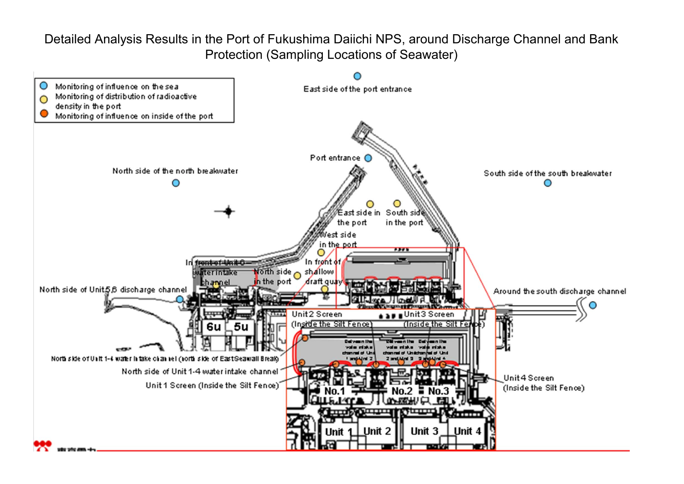Detailed Analysis Results in the Port of Fukushima Daiichi NPS, around Discharge Channel and Bank Protection (Sampling Locations of Seawater)

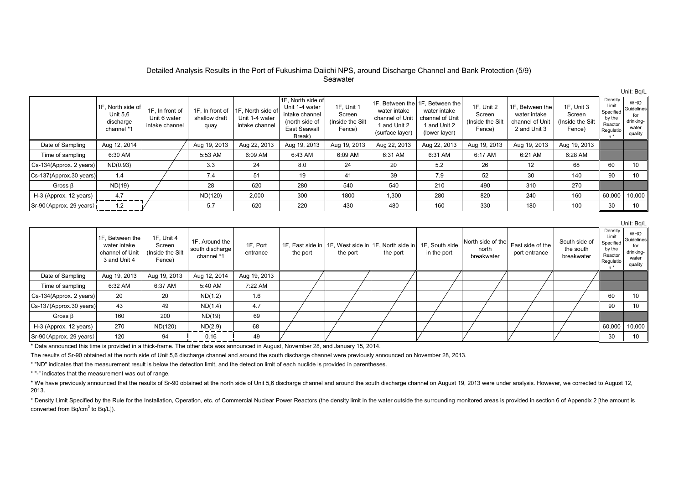#### Detailed Analysis Results in the Port of Fukushima Daiichi NPS, around Discharge Channel and Bank Protection (5/9) Seawater

|                          | 1F, North side of<br><b>Unit 5.6</b><br>discharge<br>channel *1 | 1F, In front of<br>Unit 6 water<br>intake channel | 1F. In front of<br>shallow draft<br>quay | 11F. North side of<br>Unit 1-4 water<br>intake channel | 1F, North side of<br>Unit 1-4 water<br>intake channel<br>(north side of<br><b>East Seawall</b><br>Break) | 1F. Unit 1<br>Screen<br>(Inside the Silt<br>Fence) | water intake<br>channel of Unit<br>1 and Unit 2<br>(surface layer) | 1F. Between the 11F. Between the<br>water intake<br>channel of Unit<br>1 and Unit 2<br>(lower layer) | 1F, Unit 2<br>Screen<br>(Inside the Silt<br>Fence) | 1F. Between the<br>water intake<br>channel of Unit<br>2 and Unit 3 | 1F, Unit 3<br>Screen<br>(Inside the Silt<br>Fence) | Density<br>Limit<br>Specified<br>by the<br>Reactor<br>Regulatio | <b>WHO</b><br>Guidelines<br>drinking-<br>water<br>quality |
|--------------------------|-----------------------------------------------------------------|---------------------------------------------------|------------------------------------------|--------------------------------------------------------|----------------------------------------------------------------------------------------------------------|----------------------------------------------------|--------------------------------------------------------------------|------------------------------------------------------------------------------------------------------|----------------------------------------------------|--------------------------------------------------------------------|----------------------------------------------------|-----------------------------------------------------------------|-----------------------------------------------------------|
| Date of Sampling         | Aug 12, 2014                                                    |                                                   | Aug 19, 2013                             | Aug 22, 2013                                           | Aug 19, 2013                                                                                             | Aug 19, 2013                                       | Aug 22, 2013                                                       | Aug 22, 2013                                                                                         | Aug 19, 2013                                       | Aug 19, 2013                                                       | Aug 19, 2013                                       |                                                                 |                                                           |
| Time of sampling         | 6:30 AM                                                         |                                                   | 5:53 AM                                  | 6:09 AM                                                | 6:43 AM                                                                                                  | 6:09 AM                                            | 6:31 AM                                                            | 6:31 AM                                                                                              | 6:17 AM                                            | 6:21 AM                                                            | 6:28 AM                                            |                                                                 |                                                           |
| Cs-134(Approx. 2 years)  | ND(0.93)                                                        |                                                   | 3.3                                      | 24                                                     | 8.0                                                                                                      | 24                                                 | 20                                                                 | 5.2                                                                                                  | 26                                                 | 12                                                                 | 68                                                 | 60                                                              | 10                                                        |
| Cs-137(Approx.30 years)  | 1.4                                                             |                                                   | 7.4                                      | 51                                                     | 19                                                                                                       | 41                                                 | 39                                                                 | 7.9                                                                                                  | 52                                                 | 30                                                                 | 140                                                | 90                                                              | 10                                                        |
| Gross $\beta$            | ND(19)                                                          |                                                   | 28                                       | 620                                                    | 280                                                                                                      | 540                                                | 540                                                                | 210                                                                                                  | 490                                                | 310                                                                | 270                                                |                                                                 |                                                           |
| H-3 (Approx. 12 years)   | 4.7                                                             |                                                   | ND(120)                                  | 2,000                                                  | 300                                                                                                      | 1800                                               | 1,300                                                              | 280                                                                                                  | 820                                                | 240                                                                | 160                                                | 60,000                                                          | 10.000                                                    |
| Sr-90 (Approx. 29 years) | 1.2                                                             |                                                   | 5.7                                      | 620                                                    | 220                                                                                                      | 430                                                | 480                                                                | 160                                                                                                  | 330                                                | 180                                                                | 100                                                | 30                                                              | 10                                                        |

1F, Between the water intakechannel of Unit3 and Unit 41F, Unit 4 Screen(Inside the Silt Fence) 1F, Around the south discharge channel \*11F, Port entrance1F, East side in | 1F, West side in | 1F, North side in the port the port the port 1F, South side in the port North side of thenorthbreakwaterEast side of the port entrance South side ofthe southbreakwater Density Limit Specified by the Reactor Regulatio  $n^*$ WHOGuidelines for drinkingwater quality Date of Sampling | Aug 19, 2013 | Aug 19, 2013 | Aug 12, 2014 | Aug 19, 2013 Time of sampling | 6:32 AM | 6:37 AM | 5:40 AM | 7:22 AM Cs-134(Approx. 2 years) 20 20 ND(1.2) 1.6 60 10 Cs-137(Approx.30 years) 43 49 ND(1.4) 4.7 / / / / / / / / / / / / / / / / / 90 10 Gross β  $\begin{array}{|c|c|c|c|c|c|c|c|} \hline \end{array}$  160  $\begin{array}{|c|c|c|c|c|c|} \hline \end{array}$  D(19)  $\begin{array}{|c|c|c|c|c|} \hline \end{array}$  69 H-3 (Approx. 12 years) | 270 | ND(120) | ND(2.9) | 68 | / | / | / | / | / | / | / | | 60,000 | 10,000 Sr-90(Approx. 29 years) 120 94 0.16 49 30 10

\* Data announced this time is provided in a thick-frame. The other data was announced in August, November 28, and January 15, 2014.

The results of Sr-90 obtained at the north side of Unit 5,6 discharge channel and around the south discharge channel were previously announced on November 28, 2013.

\* "ND" indicates that the measurement result is below the detection limit, and the detection limit of each nuclide is provided in parentheses.

\* "-" indicates that the measurement was out of range.

\* We have previously announced that the results of Sr-90 obtained at the north side of Unit 5.6 discharge channel and around the south discharge channel on August 19, 2013 were under analysis. However, we corrected to Augu 2013.

\* Density Limit Specified by the Rule for the Installation, Operation, etc. of Commercial Nuclear Power Reactors (the density limit in the water outside the surrounding monitored areas is provided in section 6 of Appendix converted from  $Bq/cm<sup>3</sup>$  to  $Bq/L$ ]).

Unit: Bq/L

Unit: Bq/L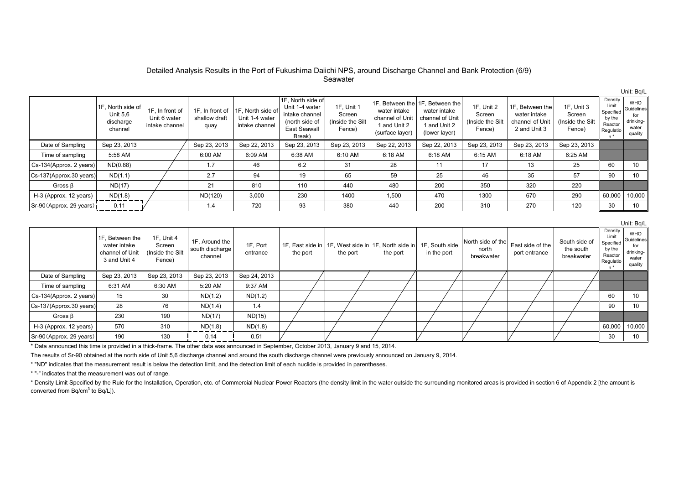#### Detailed Analysis Results in the Port of Fukushima Daiichi NPS, around Discharge Channel and Bank Protection (6/9) Seawater

|                          | 1F, North side of<br><b>Unit 5.6</b><br>discharge<br>channel | 1F, In front of<br>Unit 6 water<br>intake channel | 1F, In front of<br>shallow draft<br>quay | 1F, North side of<br>Unit 1-4 water<br>intake channel | 1F. North side of<br>Unit 1-4 water<br>intake channel<br>(north side of<br>East Seawall<br>Break) | 1F. Unit 1<br>Screen<br>(Inside the Silt)<br>Fence) | water intake<br>channel of Unit<br>and Unit 2<br>(surface layer) | 1F. Between the 1F. Between the<br>water intake<br>channel of Unit<br>1 and Unit 2<br>(lower layer) | 1F, Unit 2<br>Screen<br>(Inside the Silt<br>Fence) | 1F. Between the<br>water intake<br>channel of Unit<br>2 and Unit 3 | 1F, Unit 3<br>Screen<br>(Inside the Silt)<br>Fence) | Density<br>Limit<br>Specified<br>by the<br>Reactor<br>Regulatio<br>$n^*$ | <b>WHO</b><br>Guidelines<br>drinking-<br>water<br>quality |
|--------------------------|--------------------------------------------------------------|---------------------------------------------------|------------------------------------------|-------------------------------------------------------|---------------------------------------------------------------------------------------------------|-----------------------------------------------------|------------------------------------------------------------------|-----------------------------------------------------------------------------------------------------|----------------------------------------------------|--------------------------------------------------------------------|-----------------------------------------------------|--------------------------------------------------------------------------|-----------------------------------------------------------|
| Date of Sampling         | Sep 23, 2013                                                 |                                                   | Sep 23, 2013                             | Sep 22, 2013                                          | Sep 23, 2013                                                                                      | Sep 23, 2013                                        | Sep 22, 2013                                                     | Sep 22, 2013                                                                                        | Sep 23, 2013                                       | Sep 23, 2013                                                       | Sep 23, 2013                                        |                                                                          |                                                           |
| Time of sampling         | 5:58 AM                                                      |                                                   | 6:00 AM                                  | 6:09 AM                                               | 6:38 AM                                                                                           | 6:10 AM                                             | 6:18 AM                                                          | 6:18 AM                                                                                             | 6:15 AM                                            | 6:18 AM                                                            | 6:25 AM                                             |                                                                          |                                                           |
| Cs-134(Approx. 2 years)  | ND(0.88)                                                     |                                                   | 1.7                                      | 46                                                    | 6.2                                                                                               | 31                                                  | 28                                                               | 11                                                                                                  | 17                                                 | 13                                                                 | 25                                                  | 60                                                                       | 10                                                        |
| Cs-137(Approx.30 years)  | ND(1.1)                                                      |                                                   | 2.7                                      | 94                                                    | 19                                                                                                | 65                                                  | 59                                                               | 25                                                                                                  | 46                                                 | 35                                                                 | 57                                                  | 90                                                                       | 10                                                        |
| Gross $\beta$            | ND(17)                                                       |                                                   | 21                                       | 810                                                   | 110                                                                                               | 440                                                 | 480                                                              | 200                                                                                                 | 350                                                | 320                                                                | 220                                                 |                                                                          |                                                           |
| H-3 (Approx. 12 years)   | ND(1.8)                                                      |                                                   | ND(120)                                  | 3,000                                                 | 230                                                                                               | 1400                                                | 1,500                                                            | 470                                                                                                 | 1300                                               | 670                                                                | 290                                                 | 60,000                                                                   | 10.000                                                    |
| Sr-90 (Approx. 29 years) | 0.11                                                         |                                                   | 1.4                                      | 720                                                   | 93                                                                                                | 380                                                 | 440                                                              | 200                                                                                                 | 310                                                | 270                                                                | 120                                                 | 30                                                                       | 10                                                        |

1F, Between the water intakechannel of Unit3 and Unit 41F, Unit 4 Screen(Inside the Silt Fence) 1F, Around the south discharge channel 1F, Port entrance1F, East side in | 1F, West side in | 1F, North side in the port the port the port 1F, South side in the port North side of thenorthbreakwaterEast side of the port entrance South side ofthe southbreakwater Density Limit Specified by the Reactor Regulatio  $n^*$ WHOGuidelines for drinkingwater quality Date of Sampling | Sep 23, 2013 | Sep 23, 2013 | Sep 23, 2013 | Sep 24, 2013 Time of sampling | 6:31 AM | 6:30 AM | 5:20 AM | 9:37 AM Cs-134(Approx. 2 years)| 15 | 30 | ND(1.2) | ND(1.2) | / | / | / | / | / | / | / | / | 60 | 10 Cs-137(Approx.30 years) 28 | 76 | ND(1.4) | 1.4 | / | / | / | / | / | / | / | / | 90 | 10 Gross β  $\begin{array}{|c|c|c|c|c|c|c|c|} \hline \text{Gross }\beta & \text{230} & \text{190} & \text{ND(17)} & \text{ND(15)} \ \hline \end{array}$ H-3 (Approx. 12 years) | 570 | 310 | ND(1.8) | ND(1.8) | / | / | / | / | / | / | | / | | 60,000 | 10,000 Sr-90(Approx. 29 years) 190 130 0.14 0.51 30 10

\* Data announced this time is provided in a thick-frame. The other data was announced in September, October 2013, January 9 and 15, 2014.

The results of Sr-90 obtained at the north side of Unit 5,6 discharge channel and around the south discharge channel were previously announced on January 9, 2014.

\* "ND" indicates that the measurement result is below the detection limit, and the detection limit of each nuclide is provided in parentheses.

\* "-" indicates that the measurement was out of range.

\* Density Limit Specified by the Rule for the Installation. Operation, etc. of Commercial Nuclear Power Reactors (the density limit in the water outside the surrounding monitored areas is provided in section 6 of Appendix converted from  $Bq/cm<sup>3</sup>$  to  $Bq/L$ ]).

Unit: Bq/L

Unit: Bq/L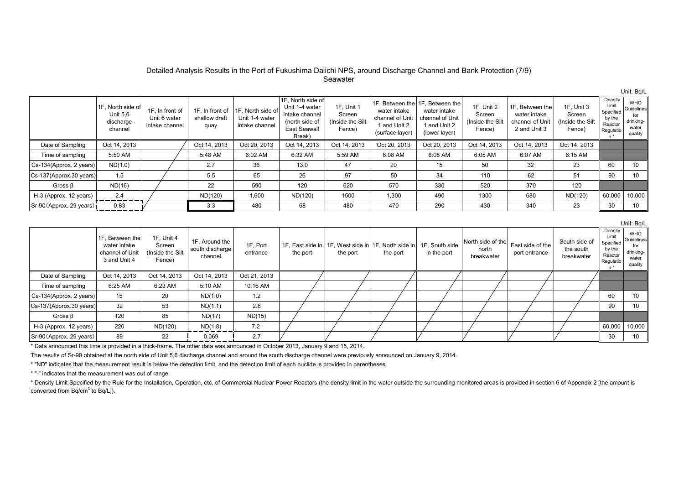#### Detailed Analysis Results in the Port of Fukushima Daiichi NPS, around Discharge Channel and Bank Protection (7/9) Seawater

|                          | 1F, North side of<br><b>Unit 5.6</b><br>discharge<br>channel | 1F, In front of<br>Unit 6 water<br>intake channel | 1F. In front of<br>shallow draft<br>quay | 11F. North side of<br>Unit 1-4 water<br>intake channel | 1F, North side of<br>Unit 1-4 water<br>intake channel<br>(north side of<br><b>East Seawall</b><br>Break) | 1F. Unit 1<br>Screen<br>(Inside the Silt<br>Fence) | water intake<br>channel of Unit<br>1 and Unit 2<br>(surface layer) | 1F. Between the 11F. Between the<br>water intake<br>channel of Unit<br>1 and Unit 2<br>(lower layer) | 1F, Unit 2<br>Screen<br>(Inside the Silt<br>Fence) | 1F. Between the<br>water intake<br>channel of Unit<br>2 and Unit 3 | 1F, Unit 3<br>Screen<br>(Inside the Silt<br>Fence) | Density<br>Limit<br>Specified<br>by the<br>Reactor<br>Regulatio | <b>WHO</b><br>Guidelines<br>drinking-<br>water<br>quality |
|--------------------------|--------------------------------------------------------------|---------------------------------------------------|------------------------------------------|--------------------------------------------------------|----------------------------------------------------------------------------------------------------------|----------------------------------------------------|--------------------------------------------------------------------|------------------------------------------------------------------------------------------------------|----------------------------------------------------|--------------------------------------------------------------------|----------------------------------------------------|-----------------------------------------------------------------|-----------------------------------------------------------|
| Date of Sampling         | Oct 14, 2013                                                 |                                                   | Oct 14, 2013                             | Oct 20, 2013                                           | Oct 14, 2013                                                                                             | Oct 14, 2013                                       | Oct 20, 2013                                                       | Oct 20, 2013                                                                                         | Oct 14, 2013                                       | Oct 14, 2013                                                       | Oct 14, 2013                                       |                                                                 |                                                           |
| Time of sampling         | 5:50 AM                                                      |                                                   | 5:48 AM                                  | 6:02 AM                                                | 6:32 AM                                                                                                  | 5:59 AM                                            | 6:08 AM                                                            | 6:08 AM                                                                                              | 6:05 AM                                            | 6:07 AM                                                            | 6:15 AM                                            |                                                                 |                                                           |
| Cs-134(Approx. 2 years)  | ND(1.0)                                                      |                                                   | 2.7                                      | 36                                                     | 13.0                                                                                                     | 47                                                 | 20                                                                 | 15                                                                                                   | 50                                                 | 32                                                                 | 23                                                 | 60                                                              | 10                                                        |
| Cs-137(Approx.30 years)  | 1.5                                                          |                                                   | 5.5                                      | 65                                                     | 26                                                                                                       | 97                                                 | 50                                                                 | 34                                                                                                   | 110                                                | 62                                                                 | 51                                                 | 90                                                              | 10                                                        |
| Gross $\beta$            | ND(16)                                                       |                                                   | 22                                       | 590                                                    | 120                                                                                                      | 620                                                | 570                                                                | 330                                                                                                  | 520                                                | 370                                                                | 120                                                |                                                                 |                                                           |
| H-3 (Approx. 12 years)   | 2.4                                                          |                                                   | ND(120)                                  | 1,600                                                  | ND(120)                                                                                                  | 1500                                               | 1,300                                                              | 490                                                                                                  | 1300                                               | 680                                                                | ND(120)                                            | 60,000                                                          | 10.000                                                    |
| Sr-90 (Approx. 29 years) | 0.83                                                         |                                                   | 3.3                                      | 480                                                    | 68                                                                                                       | 480                                                | 470                                                                | 290                                                                                                  | 430                                                | 340                                                                | 23                                                 | 30                                                              | 10                                                        |

1F, Between the water intakechannel of Unit3 and Unit 41F, Unit 4 Screen(Inside the Silt Fence) 1F, Around the south discharge channel 1F, Port entrance1F, East side in | 1F, West side in | 1F, North side in the port the port the port 1F, South side in the port North side of thenorthbreakwaterEast side of the port entrance South side ofthe southbreakwater Density Limit Specified by the Reactor Regulatio  $n^*$ WHOGuidelines for drinkingwater quality Date of Sampling | Oct 14, 2013 | Oct 14, 2013 | Oct 14, 2013 | Oct 21, 2013 Time of sampling | 6:25 AM | 6:23 AM | 5:10 AM | 10:16 AM Cs-134(Approx. 2 years) 15 20 ND(1.0) 1.2 60 10 Cs-137(Approx.30 years) 32 | 53 | ND(1.1) | 2.6 | / | / | / | / | / | / | / | / | 90 | 10 Gross β  $\begin{vmatrix} 1 & 120 \\ 1 & 85 \end{vmatrix}$  ND(17) ND(15) H-3 (Approx. 12 years) | 220 | ND(120) | ND(1.8) | 7.2 | / | / | / | / | / | / | / | 60,000 | 10,000 Sr-90(Approx. 29 years) 89 22 0.069 2.7 30 10

\* Data announced this time is provided in a thick-frame. The other data was announced in October 2013, January 9 and 15, 2014.

The results of Sr-90 obtained at the north side of Unit 5,6 discharge channel and around the south discharge channel were previously announced on January 9, 2014.

\* "ND" indicates that the measurement result is below the detection limit, and the detection limit of each nuclide is provided in parentheses.

\* "-" indicates that the measurement was out of range.

\* Density Limit Specified by the Rule for the Installation. Operation, etc. of Commercial Nuclear Power Reactors (the density limit in the water outside the surrounding monitored areas is provided in section 6 of Appendix converted from  $Bq/cm<sup>3</sup>$  to  $Bq/L$ ]).

Unit: Bq/L

Unit: Bq/L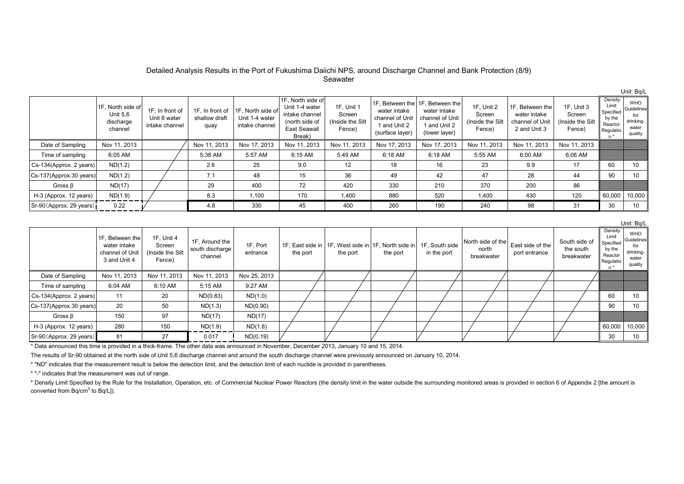#### Detailed Analysis Results in the Port of Fukushima Daiichi NPS, around Discharge Channel and Bank Protection (8/9) Seawater

Unit: Bq/L

Unit: Bq/L

|                          | 1F, North side of<br><b>Unit 5.6</b><br>discharge<br>channel | 1F, In front of<br>Unit 6 water<br>intake channel | 1F. In front of<br>shallow draft<br>quay | 1F, North side of<br>Unit 1-4 water<br>intake channel | 1F, North side of<br>Unit 1-4 water<br>intake channel<br>(north side of<br>East Seawall<br>Break) | 1F. Unit 1<br>Screen<br>(Inside the Silt)<br>Fence) | water intake<br>channel of Unit<br>1 and Unit 2<br>(surface layer) | 1F, Between the 1F, Between the<br>water intake<br>channel of Unit<br>1 and Unit 2<br>(lower layer) | 1F, Unit 2<br>Screen<br>(Inside the Silt<br>Fence) | 1F. Between the<br>water intake<br>channel of Unit<br>2 and Unit 3 | 1F. Unit 3<br>Screen<br>(Inside the Silt<br>Fence) | Density<br>Limit<br>Specified<br>by the<br>Reactor<br>Regulatio | <b>WHO</b><br>Guidelines<br>drinking-<br>water<br>quality |
|--------------------------|--------------------------------------------------------------|---------------------------------------------------|------------------------------------------|-------------------------------------------------------|---------------------------------------------------------------------------------------------------|-----------------------------------------------------|--------------------------------------------------------------------|-----------------------------------------------------------------------------------------------------|----------------------------------------------------|--------------------------------------------------------------------|----------------------------------------------------|-----------------------------------------------------------------|-----------------------------------------------------------|
| Date of Sampling         | Nov 11, 2013                                                 |                                                   | Nov 11, 2013                             | Nov 17, 2013                                          | Nov 11, 2013                                                                                      | Nov 11, 2013                                        | Nov 17, 2013                                                       | Nov 17, 2013                                                                                        | Nov 11, 2013                                       | Nov 11, 2013                                                       | Nov 11, 2013                                       |                                                                 |                                                           |
| Time of sampling         | 6:05 AM                                                      |                                                   | 5:38 AM                                  | 5:57 AM                                               | 6:15 AM                                                                                           | 5:49 AM                                             | 6:18 AM                                                            | 6:18 AM                                                                                             | 5:55 AM                                            | 6:00 AM                                                            | 6:06 AM                                            |                                                                 |                                                           |
| Cs-134(Approx. 2 years)  | ND(1.2)                                                      |                                                   | 2.6                                      | 25                                                    | 9.0                                                                                               | 12                                                  | 18                                                                 | 16                                                                                                  | 23                                                 | 9.9                                                                | 17                                                 | 60                                                              | 10                                                        |
| Cs-137(Approx.30 years)  | ND(1.2)                                                      |                                                   | 7.1                                      | 48                                                    | 15                                                                                                | 36                                                  | 49                                                                 | 42                                                                                                  | 47                                                 | 28                                                                 | 44                                                 | 90                                                              | 10                                                        |
| Gross $\beta$            | ND(17)                                                       |                                                   | 29                                       | 400                                                   | 72                                                                                                | 420                                                 | 330                                                                | 210                                                                                                 | 370                                                | 200                                                                | 86                                                 |                                                                 |                                                           |
| H-3 (Approx. 12 years)   | ND(1.9)                                                      |                                                   | 8.3                                      | 1.100                                                 | 170                                                                                               | 1,400                                               | 880                                                                | 520                                                                                                 | 1,400                                              | 430                                                                | 120                                                | 60,000                                                          | 10,000                                                    |
| Sr-90 (Approx. 29 years) | 0.22                                                         |                                                   | 4.8                                      | 330                                                   | 45                                                                                                | 400                                                 | 260                                                                | 190                                                                                                 | 240                                                | 98                                                                 | 31                                                 | 30                                                              | 10                                                        |

|                          | 1F, Between the<br>water intake<br>channel of Unit<br>3 and Unit 4 | 1F, Unit 4<br>Screen<br>(Inside the Silt<br>Fence) | 1F, Around the<br>south discharge<br>channel | 1F, Port<br>entrance | the port | the port | 1F, East side in 1F, West side in 1F, North side in 1F, South side<br>the port | in the port | North side of the<br>north<br>breakwater | East side of the<br>port entrance | South side of<br>the south<br>breakwater | Density<br>Limit<br>Specified<br>by the<br>Reactor<br>Regulatio | WHO<br>Guidelines<br>drinking-<br>water<br>quality |
|--------------------------|--------------------------------------------------------------------|----------------------------------------------------|----------------------------------------------|----------------------|----------|----------|--------------------------------------------------------------------------------|-------------|------------------------------------------|-----------------------------------|------------------------------------------|-----------------------------------------------------------------|----------------------------------------------------|
| Date of Sampling         | Nov 11, 2013                                                       | Nov 11, 2013                                       | Nov 11, 2013                                 | Nov 25, 2013         |          |          |                                                                                |             |                                          |                                   |                                          |                                                                 |                                                    |
| Time of sampling         | 6:04 AM                                                            | 6:10 AM                                            | 5:15 AM                                      | 9:27 AM              |          |          |                                                                                |             |                                          |                                   |                                          |                                                                 |                                                    |
| Cs-134(Approx. 2 years)  | 11                                                                 | 20                                                 | ND(0.83)                                     | ND(1.0)              |          |          |                                                                                |             |                                          |                                   |                                          | 60                                                              | 10                                                 |
| Cs-137(Approx.30 years)  | 20                                                                 | 50                                                 | ND(1.3)                                      | ND(0.90)             |          |          |                                                                                |             |                                          |                                   |                                          | 90                                                              | 10                                                 |
| Gross $\beta$            | 150                                                                | 97                                                 | ND(17)                                       | ND(17)               |          |          |                                                                                |             |                                          |                                   |                                          |                                                                 |                                                    |
| H-3 (Approx. 12 years)   | 280                                                                | 150                                                | ND(1.9)                                      | ND(1.8)              |          |          |                                                                                |             |                                          |                                   |                                          | 60,000                                                          | 10,000                                             |
| Sr-90 (Approx. 29 years) | 81                                                                 | 27                                                 | 0.017                                        | ND(0.19)             |          |          |                                                                                |             |                                          |                                   |                                          | 30                                                              | 10                                                 |

\* Data announced this time is provided in a thick-frame. The other data was announced in November, December 2013, January 10 and 15, 2014.

The results of Sr-90 obtained at the north side of Unit 5,6 discharge channel and around the south discharge channel were previously announced on January 10, 2014.

\* "ND" indicates that the measurement result is below the detection limit, and the detection limit of each nuclide is provided in parentheses.

\* "-" indicates that the measurement was out of range.

\* Density Limit Specified by the Rule for the Installation, Operation, etc. of Commercial Nuclear Power Reactors (the density limit in the water outside the surrounding monitored areas is provided in section 6 of Appendix converted from  $Bq/cm^3$  to  $Bq/L$ ]).